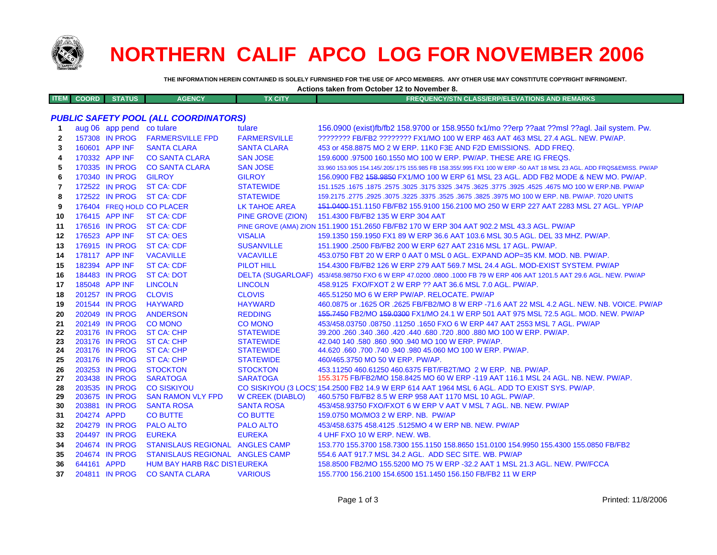

**ITEM**

**34**

**35**

**36**

**37**

## **NORTHERN CALIF APCO LOG FOR NOVEMBER 2006**

**THE INFORMATION HEREIN CONTAINED IS SOLELY FURNISHED FOR THE USE OF APCO MEMBERS. ANY OTHER USE MAY CONSTITUTE COPYRIGHT INFRINGMENT.**

|              | Actions taken from October 12 to November 8. |                           |                                       |                          |                                                                                                                     |
|--------------|----------------------------------------------|---------------------------|---------------------------------------|--------------------------|---------------------------------------------------------------------------------------------------------------------|
| <b>ITEM</b>  | <b>COORD</b>                                 | <b>STATUS</b>             | <b>AGENCY</b>                         | <b>TX CITY</b>           | <b>FREQUENCY/STN CLASS/ERP/ELEVATIONS AND REMARKS</b>                                                               |
|              |                                              |                           |                                       |                          |                                                                                                                     |
|              |                                              |                           | PUBLIC SAFETY POOL (ALL COORDINATORS) |                          |                                                                                                                     |
|              |                                              | aug 06 app pend co tulare |                                       | tulare                   | 156.0900 (exist)fb/fb2 158.9700 or 158.9550 fx1/mo ??erp ??aat ??msl ??agl. Jail system. Pw.                        |
| $\mathbf{2}$ |                                              | 157308 IN PROG            | <b>FARMERSVILLE FPD</b>               | <b>FARMERSVILLE</b>      | ???????? FB/FB2 ???????? FX1/MO 100 W ERP 463 AAT 463 MSL 27.4 AGL, NEW, PW/AP,                                     |
| 3            |                                              | 160601 APP INF            | <b>SANTA CLARA</b>                    | <b>SANTA CLARA</b>       | 453 or 458,8875 MO 2 W ERP, 11K0 F3E AND F2D EMISSIONS. ADD FREQ.                                                   |
| 4            |                                              | 170332 APP INF            | <b>CO SANTA CLARA</b>                 | <b>SAN JOSE</b>          | 159,6000 .97500 160,1550 MO 100 W ERP, PW/AP, THESE ARE IG FREQS.                                                   |
| 5            |                                              | 170335 IN PROG            | <b>CO SANTA CLARA</b>                 | <b>SAN JOSE</b>          | 33.960 153.905 154.145/.205/.175 155.985 FB 158.355/.995 FX1 100 W ERP -50 AAT 18 MSL 23 AGL. ADD FRQS&EMISS. PW/AP |
| 6            |                                              | 170340 IN PROG            | <b>GILROY</b>                         | <b>GILROY</b>            | 156,0900 FB2 158,9850 FX1/MO 100 W ERP 61 MSL 23 AGL, ADD FB2 MODE & NEW MO, PW/AP.                                 |
| 7            |                                              | 172522 IN PROG            | <b>ST CA: CDF</b>                     | <b>STATEWIDE</b>         | 151.1525 .1675 .1875 .2575 .3025 .3175 3325 .3475 .3625 .3775 .3925 .4625 .4675 MO 100 W ERP NB .PW/AP              |
| 8            |                                              | 172522 IN PROG            | <b>ST CA: CDF</b>                     | <b>STATEWIDE</b>         | 159.2175 .2775 .2925 .3075 .3225 .3375 .3525 .3675 .3825 .3975 MO 100 W ERP. NB. PW/AP. 7020 UNITS                  |
| 9            |                                              |                           | 176404 FREQ HOLD CO PLACER            | <b>LK TAHOE AREA</b>     | 151,0400-151,1150 FB/FB2 155,9100 156,2100 MO 250 W ERP 227 AAT 2283 MSL 27 AGL, YP/AP                              |
| 10           |                                              | 176415 APP INF            | <b>ST CA: CDF</b>                     | <b>PINE GROVE (ZION)</b> | 151.4300 FB/FB2 135 W ERP 304 AAT                                                                                   |
| 11           |                                              | 176516 IN PROG            | <b>ST CA: CDF</b>                     |                          | PINE GROVE (AMA) ZION 151.1900 151.2650 FB/FB2 170 W ERP 304 AAT 902.2 MSL 43.3 AGL. PW/AP                          |
| 12           |                                              | 176523 APP INF            | <b>ST CA: OES</b>                     | <b>VISALIA</b>           | 159.1350 159.1950 FX1 89 W ERP 36.6 AAT 103.6 MSL 30.5 AGL, DEL 33 MHZ, PW/AP,                                      |
| 13           |                                              | 176915 IN PROG            | <b>ST CA: CDF</b>                     | <b>SUSANVILLE</b>        | 151.1900 .2500 FB/FB2 200 W ERP 627 AAT 2316 MSL 17 AGL, PW/AP.                                                     |
| 14           |                                              | 178117 APP INF            | <b>VACAVILLE</b>                      | <b>VACAVILLE</b>         | 453.0750 FBT 20 W ERP 0 AAT 0 MSL 0 AGL. EXPAND AOP=35 KM, MOD, NB, PW/AP.                                          |
| 15           |                                              | 182394 APP INF            | <b>ST CA: CDF</b>                     | <b>PILOT HILL</b>        | 154.4300 FB/FB2 126 W ERP 279 AAT 569.7 MSL 24.4 AGL. MOD-EXIST SYSTEM, PW/AP                                       |
| 16           |                                              | 184483 IN PROG            | <b>ST CA: DOT</b>                     | <b>DELTA (SUGARLOAF)</b> | 453/458.98750 FXO 6 W ERP 47.0200 .0800 .1000 FB 79 W ERP 406 AAT 1201.5 AAT 29.6 AGL. NEW, PW/AP                   |
| 17           |                                              | 185048 APP INF            | <b>LINCOLN</b>                        | <b>LINCOLN</b>           | 458.9125 FXO/FXOT 2 W ERP ?? AAT 36.6 MSL 7.0 AGL. PW/AP.                                                           |
| 18           |                                              | 201257 IN PROG            | <b>CLOVIS</b>                         | <b>CLOVIS</b>            | 465.51250 MO 6 W ERP PW/AP, RELOCATE, PW/AP                                                                         |
| 19           |                                              | 201544 IN PROG            | <b>HAYWARD</b>                        | <b>HAYWARD</b>           | 460.0875 or .1625 OR .2625 FB/FB2/MO 8 W ERP -71.6 AAT 22 MSL 4.2 AGL, NEW, NB, VOICE, PW/AP                        |
| 20           |                                              | 202049 IN PROG            | <b>ANDERSON</b>                       | <b>REDDING</b>           | 155.7450 FB2/MO 159.0300 FX1/MO 24.1 W ERP 501 AAT 975 MSL 72.5 AGL. MOD. NEW. PW/AP                                |
| 21           |                                              | 202149 IN PROG            | <b>CO MONO</b>                        | <b>CO MONO</b>           | 453/458.03750.08750.11250.1650 FXO 6 W ERP 447 AAT 2553 MSL 7 AGL, PW/AP                                            |
| 22           |                                              | 203176 IN PROG            | <b>ST CA: CHP</b>                     | <b>STATEWIDE</b>         | 39.200 .260 .340 .360 .420 .440 .680 .720 .800 .880 MO 100 W ERP. PW/AP.                                            |
| 23           |                                              | 203176 IN PROG            | <b>ST CA: CHP</b>                     | <b>STATEWIDE</b>         | 42.040 140 .580 .860 .900 .940 MO 100 W ERP. PW/AP.                                                                 |
| 24           |                                              | 203176 IN PROG            | <b>ST CA: CHP</b>                     | <b>STATEWIDE</b>         | 44.620 .660 .700 .740 .940 .980 45.060 MO 100 W ERP. PW/AP.                                                         |
| 25           |                                              | 203176 IN PROG            | <b>ST CA: CHP</b>                     | <b>STATEWIDE</b>         | 460/465.3750 MO 50 W ERP. PW/AP.                                                                                    |
| 26           |                                              | 203253 IN PROG            | <b>STOCKTON</b>                       | <b>STOCKTON</b>          | 453,11250 460,61250 460,6375 FBT/FB2T/MO 2 W ERP. NB, PW/AP.                                                        |
| 27           |                                              | 203438 IN PROG            | <b>SARATOGA</b>                       | <b>SARATOGA</b>          | 155.3175 FB/FB2/MO 158.8425 MO 60 W ERP -119 AAT 116.1 MSL 24 AGL. NB. NEW. PW/AP.                                  |
| 28           |                                              | 203535 IN PROG            | <b>CO SISKIYOU</b>                    |                          | CO SISKIYOU (3 LOCS) 154.2500 FB2 14.9 W ERP 614 AAT 1964 MSL 6 AGL. ADD TO EXIST SYS. PW/AP.                       |
| 29           |                                              | 203675 IN PROG            | <b>SAN RAMON VLY FPD</b>              | <b>W CREEK (DIABLO)</b>  | 460.5750 FB/FB2 8.5 W ERP 958 AAT 1170 MSL 10 AGL. PW/AP.                                                           |
| 30           |                                              | 203881 IN PROG            | <b>SANTA ROSA</b>                     | <b>SANTA ROSA</b>        | 453/458.93750 FXO/FXOT 6 W ERP V AAT V MSL 7 AGL. NB. NEW. PW/AP                                                    |
| 31           | 204274 APPD                                  |                           | <b>CO BUTTE</b>                       | <b>CO BUTTE</b>          | 159.0750 MO/MO3 2 W ERP. NB. PW/AP                                                                                  |
| 32           |                                              |                           | 204279 IN PROG PALO ALTO              | <b>PALO ALTO</b>         | 453/458.6375 458.4125 .5125MO 4 W ERP NB, NEW, PW/AP                                                                |
| 33           |                                              | 204497 IN PROG            | <b>EUREKA</b>                         | <b>EUREKA</b>            | 4 UHF FXO 10 W ERP. NEW. WB.                                                                                        |

204674 IN PROG STANISLAUS REGIONAL ANGLES CAMP 153.770 155.3700 158.7300 155.1150 158.8650 151.0100 154.9950 155.4300 155.0850 FB/FB2

- 204674 IN PROG STANISLAUS REGIONAL ANGLES CAMP 554.6 AAT 917.7 MSL 34.2 AGL. ADD SEC SITE. WB. PW/AP
- 644161 APPD HUM BAY HARB R&C DISTEUREKA 158.8500 FB2/MO 155.5200 MO 75 W ERP -32.2 AAT 1 MSL 21.3 AGL. NEW. PW/FCCA
- 204811 IN PROG CO SANTA CLARA VARIOUS 155.7700 156.2100 154.6500 151.1450 156.150 FB/FB2 11 W ERP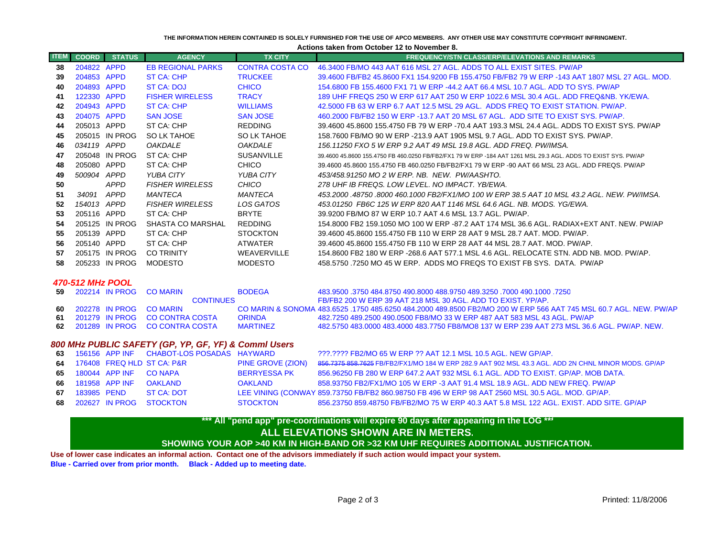## **THE INFORMATION HEREIN CONTAINED IS SOLELY FURNISHED FOR THE USE OF APCO MEMBERS. ANY OTHER USE MAY CONSTITUTE COPYRIGHT INFRINGMENT.**

**Actions taken from October 12 to November 8.**

| <b>ITEM</b>      | <b>COORD</b> | <b>STATUS</b>  | <b>AGENCY</b>            | <b>TX CITY</b>         | <b>FREQUENCY/STN CLASS/ERP/ELEVATIONS AND REMARKS</b>                                                             |
|------------------|--------------|----------------|--------------------------|------------------------|-------------------------------------------------------------------------------------------------------------------|
| -38              | 204822 APPD  |                | <b>EB REGIONAL PARKS</b> | <b>CONTRA COSTA CO</b> | 46.3400 FB/MO 443 AAT 616 MSL 27 AGL. ADDS TO ALL EXIST SITES. PW/AP                                              |
| 39               | 204853 APPD  |                | ST CA: CHP               | <b>TRUCKEE</b>         | 39.4600 FB/FB2 45.8600 FX1 154.9200 FB 155.4750 FB/FB2 79 W ERP -143 AAT 1807 MSL 27 AGL, MOD,                    |
| 40               | 204893 APPD  |                | <b>ST CA: DOJ</b>        | <b>CHICO</b>           | 154,6800 FB 155,4600 FX1 71 W ERP -44.2 AAT 66.4 MSL 10.7 AGL, ADD TO SYS, PW/AP                                  |
| 41               | 122330 APPD  |                | <b>FISHER WIRELESS</b>   | <b>TRACY</b>           | 189 UHF FREQS 250 W ERP 617 AAT 250 W ERP 1022.6 MSL 30.4 AGL. ADD FREQ&NB, YK/EWA,                               |
| 42               | 204943 APPD  |                | <b>ST CA: CHP</b>        | <b>WILLIAMS</b>        | 42,5000 FB 63 W ERP 6.7 AAT 12.5 MSL 29 AGL. ADDS FREQ TO EXIST STATION, PW/AP.                                   |
| 43               | 204075 APPD  |                | <b>SAN JOSE</b>          | <b>SAN JOSE</b>        | 460,2000 FB/FB2 150 W ERP -13.7 AAT 20 MSL 67 AGL. ADD SITE TO EXIST SYS. PW/AP.                                  |
| 44               | 205013 APPD  |                | ST CA: CHP               | <b>REDDING</b>         | 39.4600 45.8600 155.4750 FB 79 W ERP -70.4 AAT 193.3 MSL 24.4 AGL. ADDS TO EXIST SYS. PW/AP                       |
| 45               |              | 205015 IN PROG | SO LK TAHOE              | SO LK TAHOE            | 158,7600 FB/MO 90 W ERP -213.9 AAT 1905 MSL 9.7 AGL, ADD TO EXIST SYS, PW/AP.                                     |
| 46               | 034119 APPD  |                | <b>OAKDALE</b>           | <b>OAKDALE</b>         | 156.11250 FXO 5 W ERP 9.2 AAT 49 MSL 19.8 AGL. ADD FREQ. PW/IMSA.                                                 |
| 47               |              | 205048 IN PROG | ST CA: CHP               | <b>SUSANVILLE</b>      | 39.4600 45.8600 155.4750 FB 460.0250 FB/FB2/FX1 79 W ERP -184 AAT 1261 MSL 29.3 AGL. ADDS TO EXIST SYS. PW/AP     |
| 48               | 205080 APPD  |                | ST CA: CHP               | <b>CHICO</b>           | 39.4600 45.8600 155.4750 FB 460.0250 FB/FB2/FX1 79 W ERP -90 AAT 66 MSL 23 AGL. ADD FREQS, PW/AP                  |
| 49               | 500904 APPD  |                | YUBA CITY                | <b>YUBA CITY</b>       | 453/458.91250 MO 2 W ERP. NB. NEW. PW/AASHTO.                                                                     |
| 50               |              | <b>APPD</b>    | <b>FISHER WIRELESS</b>   | <b>CHICO</b>           | 278 UHF IB FREQS. LOW LEVEL. NO IMPACT. YB/EWA.                                                                   |
| 51               | 34091        | APPD           | MANTECA                  | <b>MANTECA</b>         | 453.2000 .48750 .8000 460 .1000 FB2/FX1/MO 100 W ERP 38.5 AAT 10 MSL 43.2 AGL. NEW. PW/IMSA.                      |
| 52               | 154013 APPD  |                | <b>FISHER WIRELESS</b>   | LOS GATOS              | 453.01250 FB6C 125 W ERP 820 AAT 1146 MSL 64.6 AGL, NB, MODS, YG/EWA,                                             |
| 53               | 205116 APPD  |                | ST CA: CHP               | <b>BRYTE</b>           | 39.9200 FB/MO 87 W ERP 10.7 AAT 4.6 MSL 13.7 AGL. PW/AP.                                                          |
| 54               |              | 205125 IN PROG | SHASTA CO MARSHAL        | <b>REDDING</b>         | 154,8000 FB2 159,1050 MO 100 W ERP -87,2 AAT 174 MSL 36,6 AGL, RADIAX+EXT ANT, NEW, PW/AP                         |
| 55               | 205139 APPD  |                | ST CA: CHP               | <b>STOCKTON</b>        | 39.4600 45.8600 155.4750 FB 110 W ERP 28 AAT 9 MSL 28.7 AAT, MOD, PW/AP,                                          |
| 56               | 205140 APPD  |                | ST CA: CHP               | <b>ATWATER</b>         | 39.4600 45.8600 155.4750 FB 110 W ERP 28 AAT 44 MSL 28.7 AAT, MOD, PW/AP,                                         |
| 57               |              | 205175 IN PROG | <b>CO TRINITY</b>        | <b>WEAVERVILLE</b>     | 154,8600 FB2 180 W ERP -268.6 AAT 577.1 MSL 4.6 AGL. RELOCATE STN, ADD NB, MOD, PW/AP,                            |
| 58               |              | 205233 IN PROG | MODESTO                  | <b>MODESTO</b>         | 458,5750,7250 MO 45 W ERP. ADDS MO FREQS TO EXIST FB SYS. DATA. PW/AP                                             |
| 470-512 MHz POOL |              |                |                          |                        |                                                                                                                   |
| 59               |              | 202214 IN PROG | <b>CO MARIN</b>          | <b>BODEGA</b>          | 483,9500 .3750 484,8750 490,8000 488,9750 489,3250 .7000 490,1000 .7250                                           |
|                  |              |                | <b>CONTINUES</b>         |                        | FB/FB2 200 W ERP 39 AAT 218 MSL 30 AGL. ADD TO EXIST, YP/AP.                                                      |
| 60               |              | 202278 IN PROG | <b>CO MARIN</b>          |                        | CO MARIN & SONOMA 483,6525 .1750 485,6250 484,2000 489,8500 FB2/MO 200 W ERP 566 AAT 745 MSL 60.7 AGL. NEW, PW/AP |
| 61               |              | 201279 IN PROG | <b>CO CONTRA COSTA</b>   | <b>ORINDA</b>          | 482.7250 489.2500 490.0500 FB8/MO 33 W ERP 487 AAT 583 MSL 43 AGL. PW/AP                                          |
| 62               |              | 201289 IN PROG | <b>CO CONTRA COSTA</b>   | <b>MARTINEZ</b>        | 482.5750 483.0000 483.4000 483.7750 FB8/MO8 137 W ERP 239 AAT 273 MSL 36.6 AGL. PW/AP. NEW.                       |

## *800 MHz PUBLIC SAFETY (GP, YP, GF, YF) & Comml Users*

|  |                          | 63 156156 APP INF CHABOT-LOS POSADAS HAYWARD |                          | 222.2222 FB2/MO 65 W ERP 22 AAT 12.1 MSL 10.5 AGL. NEW GP/AP.                                       |
|--|--------------------------|----------------------------------------------|--------------------------|-----------------------------------------------------------------------------------------------------|
|  |                          | 64 176408 FREQ HLD ST CA: P&R                | <b>PINE GROVE (ZION)</b> | 856.7375 858.7625 FB/FB2/FX1/MO 184 W ERP 282.9 AAT 902 MSL 43.3 AGL. ADD 2N CHNL MINOR MODS. GP/AP |
|  | 65 180044 APP INF CONAPA |                                              | BERRYESSA PK             | 856.96250 FB 280 W ERP 647.2 AAT 932 MSL 6.1 AGL, ADD TO EXIST, GP/AP, MOB DATA,                    |
|  |                          | 66 181958 APP INF OAKLAND                    | OAKLAND                  | 858.93750 FB2/FX1/MO 105 W ERP -3 AAT 91.4 MSL 18.9 AGL, ADD NEW FREQ, PW/AP                        |
|  |                          | 67 183985 PEND ST CA: DOT                    |                          | LEE VINING (CONWAY 859.73750 FB/FB2 860.98750 FB 496 W ERP 98 AAT 2560 MSL 30.5 AGL. MOD. GP/AP.    |
|  |                          | 68 202627 IN PROG STOCKTON                   | STOCKTON                 | 856.23750 859.48750 FB/FB2/MO 75 W ERP 40.3 AAT 5.8 MSL 122 AGL. EXIST, ADD SITE, GP/AP             |

## **ALL ELEVATIONS SHOWN ARE IN METERS. SHOWING YOUR AOP >40 KM IN HIGH-BAND OR >32 KM UHF REQUIRES ADDITIONAL JUSTIFICATION. \*\*\* All "pend app" pre-coordinations will expire 90 days after appearing in the LOG \*\*\***

**Use of lower case indicates an informal action. Contact one of the advisors immediately if such action would impact your system. Blue - Carried over from prior month. Black - Added up to meeting date.**

 $\sim$